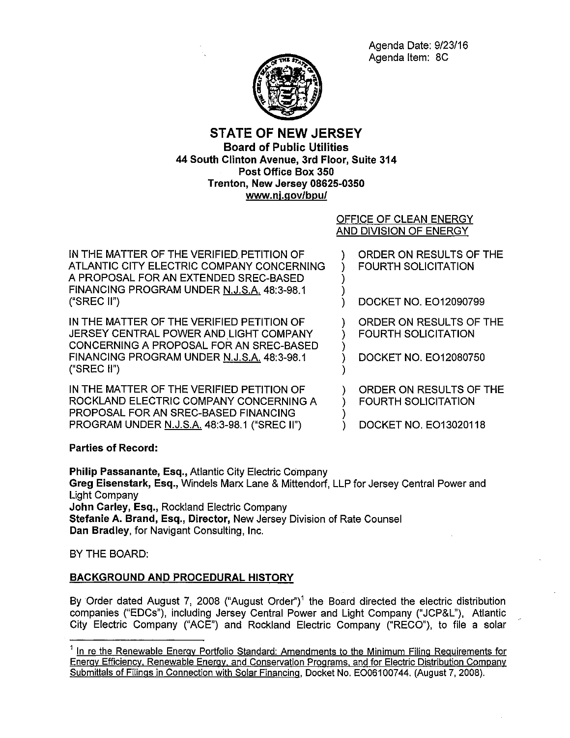Agenda Date: 9/23/16 Agenda Item: 8C



# **STATE OF NEW JERSEY Board of Public Utilities 44 South Clinton Avenue, 3rd Floor, Suite 314 Post Office Box 350 Trenton, New Jersey 08625-0350 www.nj.gov/bpu/**

## OFFICE OF CLEAN ENERGY AND DIVISION OF ENERGY

)

)

)

)

IN THE MATTER OF THE VERIFIED PETITION OF ATLANTIC CITY ELECTRIC COMPANY CONCERNING A PROPOSAL FOR AN EXTENDED SREC-BASED FINANCING PROGRAM UNDER N.J.S.A. 48:3-98.1 ("SREC II")

IN THE MATTER OF THE VERIFIED PETITION OF JERSEY CENTRAL POWER AND LIGHT COMPANY CONCERNING A PROPOSAL FOR AN SREC-BASED FINANCING PROGRAM UNDER N.J.S.A. 48:3-98.1 ("SREC II")

IN THE MATTER OF THE VERIFIED PETITION OF ROCKLAND ELECTRIC COMPANY CONCERNING A PROPOSAL FOR AN SREC-BASED FINANCING PROGRAM UNDER N.J.S.A. 48:3-98.1 ("SREC II")

) ORDER ON RESULTS OF THE ) FOURTH SOLICITATION )

) DOCKET NO. E012090799

) ORDER ON RESULTS OF THE ) FOURTH SOLICITATION

) DOCKET NO. E012080750

) ORDER ON RESULTS OF THE ) FOURTH SOLICITATION

) DOCKET NO. E013020118

## **Parties of Record:**

**Philip Passanante, Esq.,** Atlantic City Electric Company **Greg Eisenstark, Esq.,** Windels Marx Lane & Mittendorf, LLP for Jersey Central Power and Light Company **John Carley, Esq.,** Rockland Electric Company **Stefanie A. Brand, Esq., Director,** New Jersey Division of Rate Counsel **Dan Bradley,** for Navigant Consulting, Inc.

BY THE BOARD:

## **BACKGROUND AND PROCEDURAL HISTORY**

By Order dated August 7, 2008 ("August Order")<sup>1</sup> the Board directed the electric distribution companies ("EDCs"), including Jersey Central Power and Light Company ("JCP&L"), Atlantic City Electric Company ("ACE") and Rockland Electric Company ("RECO"), to file a solar

<sup>&</sup>lt;sup>1</sup> In re the Renewable Energy Portfolio Standard: Amendments to the Minimum Filing Requirements for Energy Efficiency, Renewable Energy. and Conservation Programs. and for Electric Distribution Company Submittals of Filings in Connection with Solar Financing, Docket No. E006100744. (August 7, 2008).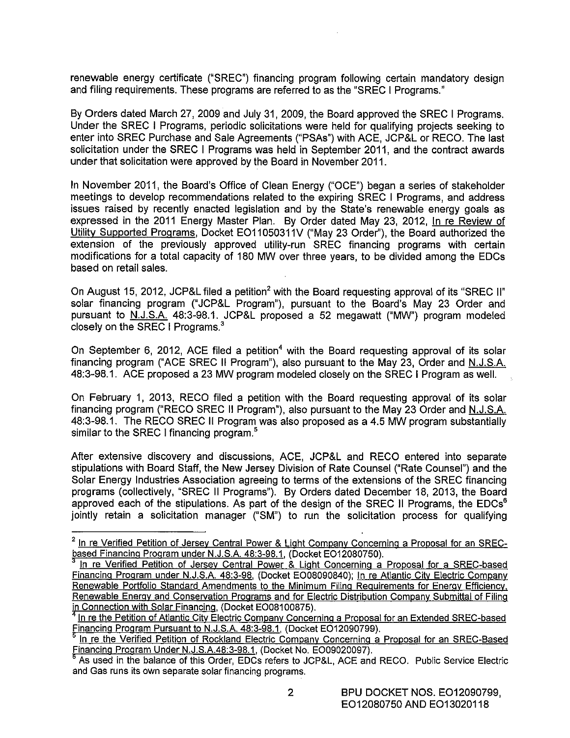renewable energy certificate ("SREC") financing program following certain mandatory design and filing requirements. These programs are referred to as the "SREC I Programs."

By Orders dated March 27, 2009 and July 31, 2009, the Board approved the SREC I Programs. Under the SREC I Programs, periodic solicitations were held for qualifying projects seeking to enter into SREC Purchase and Sale Agreements ("PSAs") with ACE, JCP&L or RECO. The last solicitation under the SREC I Programs was held in September 2011, and the contract awards under that solicitation were approved by the Board in November 2011.

In November 2011, the Board's Office of Clean Energy ("OCE") began a series of stakeholder meetings to develop recommendations related to the expiring SREC I Programs, and address issues raised by recently enacted legislation and by the State's renewable energy goals as expressed in the 2011 Energy Master Plan. By Order dated May 23, 2012, In re Review of Utility Supported Programs, Docket EO11050311V ("May 23 Order"), the Board authorized the extension of the previously approved utility-run SREC financing programs with certain modifications for a total capacity of 180 MW over three years, to be divided among the EDCs based on retail sales.

On August 15, 2012, JCP&L filed a petition<sup>2</sup> with the Board requesting approval of its "SREC II" solar financing program ("JCP&L Program"), pursuant to the Board's May 23 Order and pursuant to N.J.S.A. 48:3-98.1. JCP&L proposed a 52 megawatt ("MW") program modeled closely on the SREC I Programs.<sup>3</sup>

On September 6, 2012, ACE filed a petition<sup>4</sup> with the Board requesting approval of its solar financing program ("ACE SREC II Program"), also pursuant to the May 23, Order and N.J.S.A. 48:3-98.1. ACE proposed a 23 MW program modeled closely on the SREC I Program as well.

On February 1, 2013, RECO filed a petition with the Board requesting approval of its solar financing program ("RECO SREC II Program"), also pursuant to the May 23 Order and N.J.S.A. 48:3-98.1. The RECO SREC II Program was also proposed as a 4.5 MW program substantially similar to the SREC I financing program.<sup>5</sup>

After extensive discovery and discussions, ACE, JCP&L and RECO entered into separate stipulations with Board Staff, the New Jersey Division of Rate Counsel ("Rate Counsel") and the Solar Energy Industries Association agreeing to terms of the extensions of the SREC financing programs (collectively, "SREC II Programs"). By Orders dated December 18, 2013, the Board approved each of the stipulations. As part of the design of the SREC II Programs, the EDCs<sup>6</sup> jointly retain a solicitation manager ("SM") to run the solicitation process for qualifying

 $2$  In re Verified Petition of Jersey Central Power & Light Company Concerning a Proposal for an SREC-<br>based Financing Program under N.J.S.A. 48:3-98.1, (Docket EO12080750).

In re Verified Petition of Jersey Central Power & Light Concerning a Proposal for a SREC-based Financing Program under N.J.S.A. 48:3-98, (Docket E008090840); In re Atlantic City Electric Company Renewable Portfolio Standard Amendments to the Minimum Filing Requirements for Energy Efficiency, Renewable Energy and Conservation Programs and for Electric Distribution Company Submittal of Filing

in Connection with Solar Financing. (Docket EO08100875).<br><sup>4</sup> In re the Petition of Atlantic City Electric Company Concerning a Proposal for an Extended SREC-based<br>Financing Program Pursuant to N.J.S.A. 48:3-98.1, (Docket E

<sup>&</sup>lt;sup>s</sup> In re the Verified Petition of Rockland Electric Company Concerning a Proposal for an SREC-Based<br>Financing Program Under N.J.S.A.48:3-98.1, (Docket No. EO09020097).

As used in the balance of this Order, EDCs refers to JCP&L, ACE and RECO. Public Service Electric and Gas runs its own separate solar financing programs.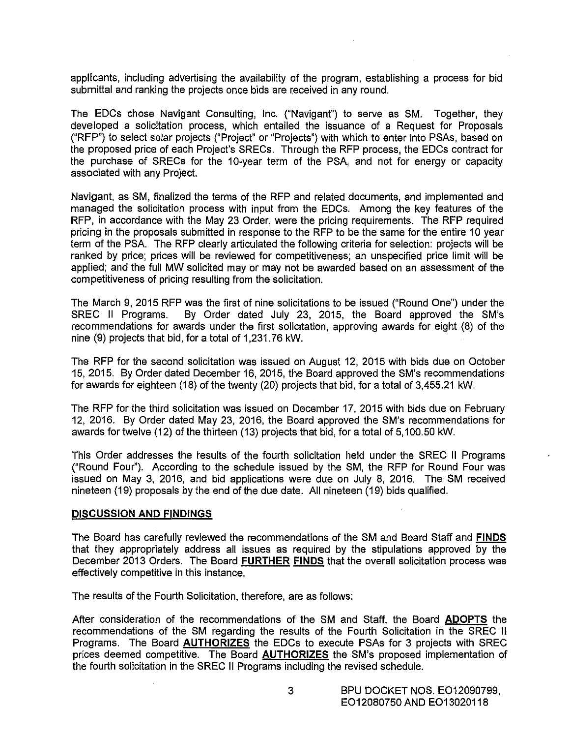applicants, including advertising the availability of the program, establishing a process for bid submittal and ranking the projects once bids are received in any round.

The EDCs chose Navigant Consulting, Inc. ("Navigant") to serve as SM. Together, they developed a solicitation process, which entailed the issuance of a Request for Proposals ("RFP") to select solar projects ("Project" or "Projects") with which to enter into PSAs, based on the proposed price of each Project's SRECs. Through the RFP process, the EDCs contract for the purchase of SRECs for the 10-year term of the PSA, and not for energy or capacity associated with any Project.

Navigant, as SM, finalized the terms of the RFP and related documents, and implemented and managed the solicitation process with input from the EDCs. Among the key features of the RFP, in accordance with the May 23 Order, were the pricing requirements. The RFP required pricing in the proposals submitted in response to the RFP to be the same for the entire 10 year term of the PSA. The RFP clearly articulated the following criteria for selection: projects will be ranked by price; prices will be reviewed for competitiveness; an unspecified price limit will be applied; and the full MW solicited may or may not be awarded based on an assessment of the competitiveness of pricing resulting from the solicitation.

The March 9, 2015 RFP was the first of nine solicitations to be issued ("Round One") under the SREC II Programs. By Order dated July 23, 2015, the Board approved the SM's recommendations for awards under the first solicitation, approving awards for eight (8) of the nine (9) projects that bid, for a total of 1,231.76 kW.

The RFP for the second solicitation was issued on August 12, 2015 with bids due on October 15, 2015. By Order dated December 16, 2015, the Board approved the SM's recommendations for awards for eighteen (18) of the twenty (20) projects that bid, for a total of 3,455.21 kW.

The RFP for the third solicitation was issued on December 17, 2015 with bids due on February 12, 2016. By Order dated May 23, 2016, the Board approved the SM's recommendations for awards for twelve (12) of the thirteen (13) projects that bid, for a total of 5,100.50 kW.

This Order addresses the results of the fourth solicitation held under the SREC II Programs ("Round Four''). According to the schedule issued by the SM, the RFP for Round Four was issued on May 3, 2016, and bid applications were due on July 8, 2016. The SM received nineteen (19) proposals by the end of the due date. All nineteen (19) bids qualified.

#### **DISCUSSION AND FINDINGS**

The Board has carefully reviewed the recommendations of the SM and Board Staff and **FINDS**  that they appropriately address all issues as required by the stipulations approved by the December 2013 Orders. The Board **FURTHER FINDS** that the overall solicitation process was effectively competitive in this instance.

The results of the Fourth Solicitation, therefore, are as follows:

After consideration of the recommendations of the SM and Staff, the Board **ADOPTS** the recommendations of the SM regarding the results of the Fourth Solicitation in the SREC II Programs. The Board **AUTHORIZES** the EDCs to execute PSAs for 3 projects with SREC prices deemed competitive. The Board **AUTHORIZES** the SM's proposed implementation of the fourth solicitation in the SREC II Programs including the revised schedule.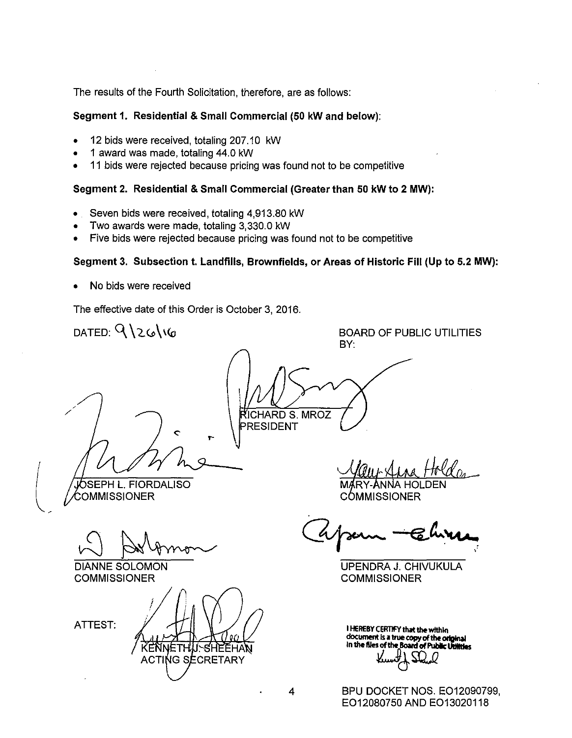The results of the Fourth Solicitation, therefore, are as follows:

### **Segment 1. Residential & Small Commercial (50 kW and below):**

- 12 bids were received, totaling 207.10 kW
- 1 award was made, totaling 44.0 kW
- 11 bids were rejected because pricing was found not to be competitive

### **Segment 2. Residential & Small Commercial (Greater than 50 kW to 2 MW):**

- Seven bids were received, totaling 4,913.80 kW
- Two awards were made, totaling 3,330.0 kW
- Five bids were rejected because pricing was found not to be competitive

### **Segment 3. Subsection t. Landfills, Brownfields, or Areas of Historic Fill (Up to 5.2 MW):**

• No bids were received

The effective date of this Order is October 3, 2016.

DATED:  $912616$ BOARD OF PUBLIC UTILITIES BY: !CHARD S. MROZ PRESIDENT **J**ÓSEPH L. FIORDALISO OMMISSIONER **COMMISSIONER** 

W Avnon

DIANNE SOLOMON

**COMMISSIONER** 

ATTEST:

ETH J.∽SHEEHA KENI **ACTING SECRETARY** 

UPENDRA J. CHJVUKULA **COMMISSIONER** 

**I HEREBY CERTIFY that the within** document is a true copy of the original **In 1M files of 1M Board of Pubic 11111111os**  *U6mi2* 

BPU DOCKET NOS. E012090799, E012080750 AND E013020118

4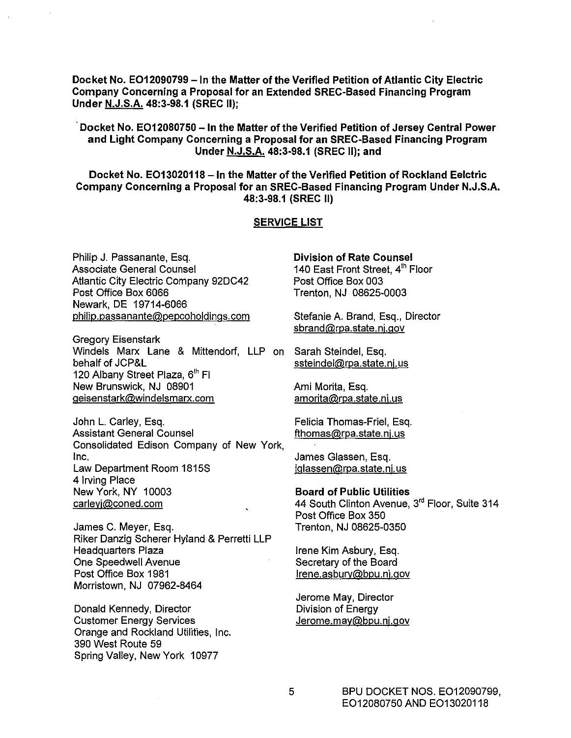**Docket No. E012090799** -In **the Matter of the Verified Petition of Atlantic City Electric Company Concerning a Proposal for an Extended SREC-Based Financing Program Under N.J.S.A. 48:3-98.1 (SREC II);** 

### **Docket No. E012080750- In the Matter of the Verified Petition of Jersey Central Power and Light Company Concerning a Proposal for an SREC-Based Financing Program Under N.J.S.A. 48:3-98.1 (SREC** II); **and**

**Docket No. E013020118 -In the Matter of the Verified Petition of Rockland Eelctric Company Concerning a Proposal for an SREC-Based Financing Program Under N.J.S.A. 48:3-98.1 (SREC II)** 

#### **SERVICE LIST**

Philip J. Passanante, Esq. Associate General Counsel Atlantic City Electric Company 92DC42 Post Office Box 6066 Newark, DE 19714-6066 philip.passanante@pepcoholdings.com

Gregory Eisenstark Windels Marx Lane & Mittendorf, LLP on Sarah Steindel, Esq. behalf of JCP&L 120 Albany Street Plaza, 6<sup>th</sup> Fl New Brunswick, NJ 08901 geisenstark@windelsmarx.com

John L. Carley, Esq. Assistant General Counsel Consolidated Edison Company of New York, Inc. Law Department Room 1815S 4 Irving Place New York, NY 10003 carleyj@coned.com

James C. Meyer, Esq. Riker Danzig Scherer Hyland & Perretti LLP Headquarters Plaza One Speedwell Avenue Post Office Box 1981 Morristown, NJ 07962-8464

Donald Kennedy, Director Customer Energy Services Orange and Rockland Utilities, Inc. 390 West Route 59 Spring Valley, New York 10977

**Division of Rate Counsel**  140 East Front Street, 4<sup>th</sup> Floor Post Office Box 003 Trenton, NJ 08625-0003

Stefanie A. Brand, Esq., Director sbrand@rpa.state.nj.gov

ssteindel@rpa.state.nj.us

Ami Morita, Esq. amorita@rpa.state.nj.us

Felicia Thomas-Friel, Esq. fthomas@rpa.state.nj.us

James Glassen, Esq. jglassen@rpa.state.nj.us

**Board of Public Utilities**  44 South Clinton Avenue, 3<sup>rd</sup> Floor, Suite 314 Post Office Box 350 Trenton, NJ 08625-0350

Irene Kim Asbury, Esq. Secretary of the Board lrene.asbury@bpu.nj.gov

Jerome May, Director Division of Energy Jerome.may@bpu.nj.gov

> BPU DOCKET NOS. E012090799, E012080750 AND E013020118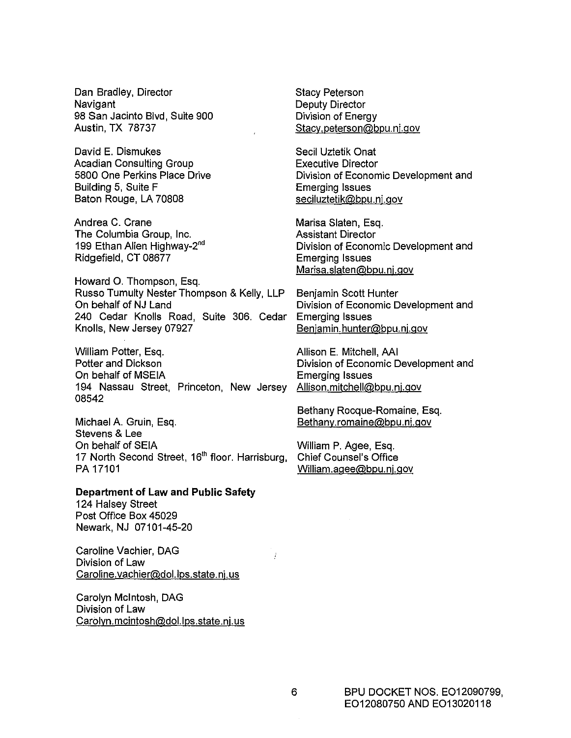Dan Bradley, Director Navigant 98 San Jacinto Blvd, Suite 900 Austin, TX 78737

David E. Dismukes Acadian Consulting Group 5800 One Perkins Place Drive Building 5, Suite F Baton Rouge, LA 70808

Andrea C. Crane The Columbia Group, Inc. 199 Ethan Allen Highway-2<sup>nd</sup> Ridgefield, CT 08677

Howard 0. Thompson, Esq. Russo Tumulty Nester Thompson & Kelly, LLP On behalf of NJ Land 240 Cedar Knolls Road, Suite 306. Cedar Knolls, New Jersey 07927

William Potter, Esq. Potter and Dickson On behalf of MSEIA 194 Nassau Street, Princeton, New Jersey 08542

Michael A. Gruin, Esq. Stevens & Lee On behalf of SEIA 17 North Second Street, 16<sup>th</sup> floor. Harrisburg, PA 17101

# **Department of Law and Public Safety**

124 Halsey Street Post Office Box 45029 Newark, NJ 07101-45-20

Caroline Vachier, DAG Division of Law Caroline.vachier@dol.lps.state.nj.us

Carolyn Mcintosh, DAG Division of Law Carolyn.mcintosh@dol.lps.state.nj.us Stacy Peterson Deputy Director Division of Energy Stacy.peterson@bpu.nj.gov

Secil Uztetik Onat Executive Director Division of Economic Development and Emerging Issues seciluztetik@bpu.nj.gov

Marisa Slaten, Esq. Assistant Director Division of Economic Development and Emerging Issues Marisa.slaten@bpu.nj.gov

Benjamin Scott Hunter Division of Economic Development and Emerging Issues Benjamin.hunter@bpu.nj.gov

Allison E. Mitchell, AAI Division of Economic Development and Emerging Issues Allison.mitchell@bpu.nj.gov

Bethany Rocque-Romaine, Esq. Bethany.romaine@bpu.nj.gov

William P. Agee, Esq. Chief Counsel's Office William.agee@bpu.nj.gov

J